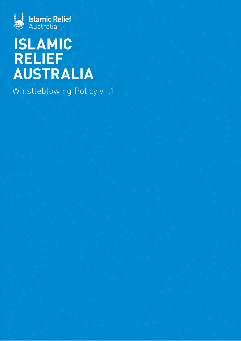

# **ISLAMIC RELIEF AUSTRALIA**

Whistleblowing Policy v1.1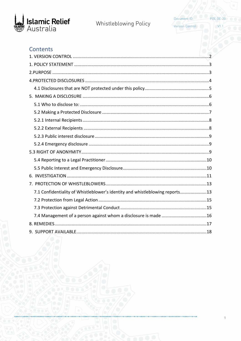

Document ID: Version Control: **POL GE-20** 

 $V1.1$ 

# Contents

| 7.1 Confidentiality of Whistleblower's identity and whistleblowing reports13 |
|------------------------------------------------------------------------------|
|                                                                              |
|                                                                              |
| 7.4 Management of a person against whom a disclosure is made 16              |
|                                                                              |
|                                                                              |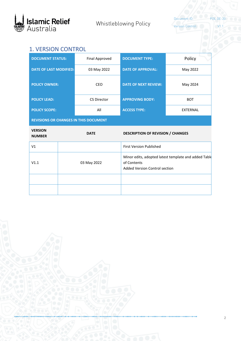

Version Control: V1.1

Document ID: POL GE-20

# <span id="page-2-0"></span>1. VERSION CONTROL

| <b>DOCUMENT STATUS:</b>                      |  | <b>Final Approved</b> | <b>DOCUMENT TYPE:</b>                               | Policy                                               |  |
|----------------------------------------------|--|-----------------------|-----------------------------------------------------|------------------------------------------------------|--|
| <b>DATE OF LAST MODIFIED:</b>                |  | 03 May 2022           | <b>DATE OF APPROVAL:</b>                            | May 2022                                             |  |
| <b>POLICY OWNER:</b>                         |  | CEO                   | <b>DATE OF NEXT REVIEW:</b>                         | May 2024                                             |  |
| <b>POLICY LEAD:</b>                          |  | <b>CS Director</b>    | <b>APPROVING BODY:</b>                              | <b>BOT</b>                                           |  |
| <b>POLICY SCOPE:</b>                         |  | All                   | <b>ACCESS TYPE:</b>                                 | <b>EXTERNAL</b>                                      |  |
| <b>REVISIONS OR CHANGES IN THIS DOCUMENT</b> |  |                       |                                                     |                                                      |  |
|                                              |  |                       |                                                     |                                                      |  |
| <b>VERSION</b><br><b>NUMBER</b>              |  | <b>DATE</b>           | <b>DESCRIPTION OF REVISION / CHANGES</b>            |                                                      |  |
| V <sub>1</sub>                               |  |                       | <b>First Version Published</b>                      |                                                      |  |
| V1.1                                         |  | 03 May 2022           | of Contents<br><b>Added Version Control section</b> | Minor edits, adopted latest template and added Table |  |
|                                              |  |                       |                                                     |                                                      |  |

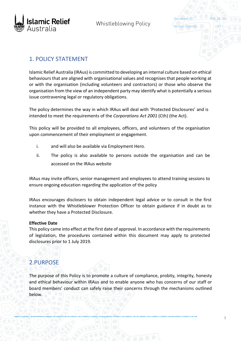

Version Control:

Document ID:

## <span id="page-3-0"></span>1. POLICY STATEMENT

Islamic Relief Australia (IRAus) is committed to developing an internal culture based on ethical behaviours that are aligned with organisational values and recognises that people working at or with the organisation (including volunteers and contractors) or those who observe the organisation from the view of an independent party may identify what is potentially a serious issue contravening legal or regulatory obligations.

The policy determines the way in which IRAus will deal with 'Protected Disclosures' and is intended to meet the requirements of the *Corporations Act 2001* (Cth) (the Act).

This policy will be provided to all employees, officers, and volunteers of the organisation upon commencement of their employment or engagement.

- i. and will also be available via Employment Hero.
- ii. The policy is also available to persons outside the organisation and can be accessed on the IRAus website

IRAus may invite officers, senior management and employees to attend training sessions to ensure ongoing education regarding the application of the policy

IRAus encourages disclosers to obtain independent legal advice or to consult in the first instance with the Whistleblower Protection Officer to obtain guidance if in doubt as to whether they have a Protected Disclosure.

#### **Effective Date**

This policy came into effect at the first date of approval. In accordance with the requirements of legislation, the procedures contained within this document may apply to protected disclosures prior to 1 July 2019.

# <span id="page-3-1"></span>2.PURPOSE

The purpose of this Policy is to promote a culture of compliance, probity, integrity, honesty and ethical behaviour within IRAus and to enable anyone who has concerns of our staff or board members' conduct can safely raise their concerns through the mechanisms outlined below.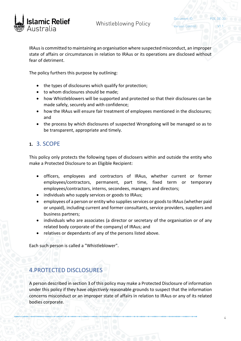

Document ID:

IRAus is committed to maintaining an organisation where suspected misconduct, an improper state of affairs or circumstances in relation to IRAus or its operations are disclosed without fear of detriment.

The policy furthers this purpose by outlining:

- the types of disclosures which qualify for protection;
- to whom disclosures should be made;
- how Whistleblowers will be supported and protected so that their disclosures can be made safely, securely and with confidence;
- how the IRAus will ensure fair treatment of employees mentioned in the disclosures; and
- the process by which disclosures of suspected Wrongdoing will be managed so as to be transparent, appropriate and timely.

# **1.** 3. SCOPE

This policy only protects the following types of disclosers within and outside the entity who make a Protected Disclosure to an Eligible Recipient:

- officers, employees and contractors of IRAus, whether current or former employees/contractors, permanent, part time, fixed term or temporary employees/contractors, interns, secondees, managers and directors;
- individuals who supply services or goods to IRAus;
- employees of a person or entity who supplies services or goods to IRAus (whether paid or unpaid), including current and former consultants, service providers, suppliers and business partners;
- individuals who are associates (a director or secretary of the organisation or of any related body corporate of the company) of IRAus; and
- relatives or dependants of any of the persons listed above.

Each such person is called a "Whistleblower".

# <span id="page-4-0"></span>4.PROTECTED DISCLOSURES

A person described in section 3 of this policy may make a Protected Disclosure of information under this policy if they have *objectively* reasonable grounds to suspect that the information concerns misconduct or an improper state of affairs in relation to IRAus or any of its related bodies corporate.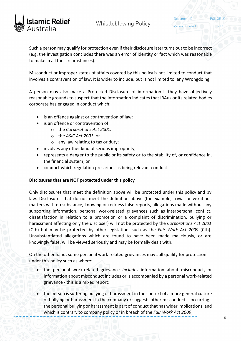

Document ID:

Such a person may qualify for protection even if their disclosure later turns out to be incorrect (e.g. the investigation concludes there was an error of identity or fact which was reasonable to make in all the circumstances).

Misconduct or improper states of affairs covered by this policy is not limited to conduct that involves a contravention of law. It is wider to include, but is not limited to, any Wrongdoing.

A person may also make a Protected Disclosure of information if they have objectively reasonable grounds to suspect that the information indicates that IRAus or its related bodies corporate has engaged in conduct which:

- is an offence against or contravention of law;
- is an offence or contravention of:
	- o the *Corporations Act 2001;*
	- o the *ASIC Act 2001*; or
	- $\circ$  any law relating to tax or duty;
- involves any other kind of serious impropriety;
- represents a danger to the public or its safety or to the stability of, or confidence in, the financial system; or
- conduct which regulation prescribes as being relevant conduct.

#### <span id="page-5-0"></span>**Disclosures that are NOT protected under this policy**

Only disclosures that meet the definition above will be protected under this policy and by law. Disclosures that do not meet the definition above (for example, trivial or vexatious matters with no substance, knowing or reckless false reports, allegations made without any supporting information, personal work-related grievances such as interpersonal conflict, dissatisfaction in relation to a promotion or a complaint of discrimination, bullying or harassment affecting only the discloser) will not be protected by the *Corporations Act 2001* (Cth) but may be protected by other legislation, such as the *Fair Work Act 2009* (Cth). Unsubstantiated allegations which are found to have been made maliciously, or are knowingly false, will be viewed seriously and may be formally dealt with.

On the other hand, some personal work-related grievances may still qualify for protection under this policy such as where:

- the personal work-related grievance *includes* information about misconduct, or information about misconduct includes or is accompanied by a personal work-related grievance - this is a mixed report;
- the person is suffering bullying or harassment in the context of a more general culture of bullying or harassment in the company or suggests other misconduct is occurring the personal bullying or harassment is part of conduct that has wider implications, and which is contrary to company policy or in breach of the *Fair Work Act 2009*;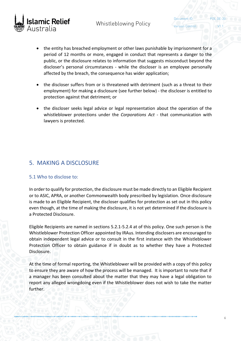

Document ID:

- the entity has breached employment or other laws punishable by imprisonment for a period of 12 months or more, engaged in conduct that represents a danger to the public, or the disclosure relates to information that suggests misconduct beyond the discloser's personal circumstances - while the discloser is an employee personally affected by the breach, the consequence has wider application;
- the discloser suffers from or is threatened with detriment (such as a threat to their employment) for making a disclosure (see further below) - the discloser is entitled to protection against that detriment; or
- the discloser seeks legal advice or legal representation about the operation of the whistleblower protections under the *Corporations Act* - that communication with lawyers is protected.

# <span id="page-6-0"></span>5. MAKING A DISCLOSURE

#### <span id="page-6-1"></span>5.1 Who to disclose to:

In order to qualify for protection, the disclosure must be made directly to an Eligible Recipient or to ASIC, APRA, or another Commonwealth body prescribed by legislation. Once disclosure is made to an Eligible Recipient, the discloser qualifies for protection as set out in this policy even though, at the time of making the disclosure, it is not yet determined if the disclosure is a Protected Disclosure.

Eligible Recipients are named in sections 5.2.1-5.2.4 at of this policy. One such person is the Whistleblower Protection Officer appointed by IRAus. Intending disclosers are encouraged to obtain independent legal advice or to consult in the first instance with the Whistleblower Protection Officer to obtain guidance if in doubt as to whether they have a Protected Disclosure.

At the time of formal reporting, the Whistleblower will be provided with a copy of this policy to ensure they are aware of how the process will be managed. It is important to note that if a manager has been consulted about the matter that they may have a legal obligation to report any alleged wrongdoing even if the Whistleblower does not wish to take the matter further.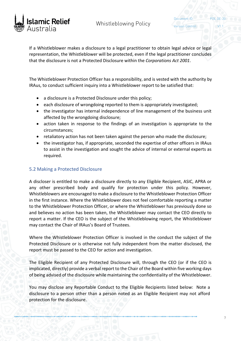

Document ID:

If a Whistleblower makes a disclosure to a legal practitioner to obtain legal advice or legal representation, the Whistleblower will be protected, even if the legal practitioner concludes that the disclosure is not a Protected Disclosure within the *Corporations Act 2001*.

The Whistleblower Protection Officer has a responsibility, and is vested with the authority by IRAus, to conduct sufficient inquiry into a Whistleblower report to be satisfied that:

- a disclosure is a Protected Disclosure under this policy;
- each disclosure of wrongdoing reported to them is appropriately investigated;
- the investigator has internal independence of line management of the business unit affected by the wrongdoing disclosure;
- action taken in response to the findings of an investigation is appropriate to the circumstances;
- retaliatory action has not been taken against the person who made the disclosure;
- the investigator has, if appropriate, seconded the expertise of other officers in IRAus to assist in the investigation and sought the advice of internal or external experts as required.

#### <span id="page-7-0"></span>5.2 Making a Protected Disclosure

A discloser is entitled to make a disclosure directly to any Eligible Recipient, ASIC, APRA or any other prescribed body and qualify for protection under this policy. However, Whistleblowers are encouraged to make a disclosure to the Whistleblower Protection Officer in the first instance. Where the Whistleblower does not feel comfortable reporting a matter to the Whistleblower Protection Officer, or where the Whistleblower has previously done so and believes no action has been taken, the Whistleblower may contact the CEO directly to report a matter. If the CEO is the subject of the Whistleblowing report, the Whistleblower may contact the Chair of IRAus's Board of Trustees.

Where the Whistleblower Protection Officer is involved in the conduct the subject of the Protected Disclosure or is otherwise not fully independent from the matter disclosed, the report must be passed to the CEO for action and investigation.

The Eligible Recipient of any Protected Disclosure will, through the CEO (or if the CEO is implicated, directly) provide a verbal report to the Chair of the Board within five working days of being advised of the disclosure while maintaining the confidentiality of the Whistleblower.

You may disclose any Reportable Conduct to the Eligible Recipients listed below: Note a disclosure to a person other than a person noted as an Eligible Recipient may not afford protection for the disclosure.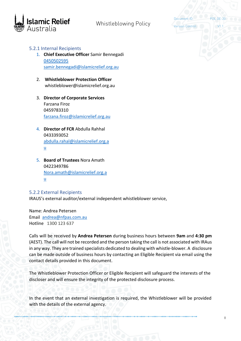

Document ID: Version Control:

#### <span id="page-8-0"></span>5.2.1 Internal Recipients

- 1. **Chief Executive Officer** Samir Bennegadi 0450502595 [samir.bennegadi@islamicrelief.org.au](mailto:samir.bennegadi@islamicrelief.org.au)
- 2. **Whistleblower Protection Officer** whistleblower@islamicrelief.org.au
- 3. **Director of Corporate Services** Farzana Firoz 0459783310 [farzana.firoz@islamicrelief.org.au](mailto:farzana.firoz@islamicrelief.org.au)
- 4. **Director of FCR** Abdulla Rahhal 0433393052 [abdulla.rahal@islamicrelief.org.a](mailto:abdulla.rahal@islamicrelief.org.au) [u](mailto:abdulla.rahal@islamicrelief.org.au)
- 5. **Board of Trustees** Nora Amath 0422349786 [Nora.amath@islamicrelief.org.a](mailto:Nora.amath@islamicrelief.org.au) [u](mailto:Nora.amath@islamicrelief.org.au)

<span id="page-8-1"></span>5.2.2 External Recipients

IRAUS's external auditor/external independent whistleblower service,

Name: Andrea Petersen Email [andrea@nfpas.com.au](mailto:andrea@nfpas.com.au) Hotline 1300 123 637

Calls will be received by **Andrea Petersen** during business hours between **9am** and **4:30 pm** (AEST). The call will not be recorded and the person taking the call is not associated with IRAus in any way. They are trained specialists dedicated to dealing with whistle-blower. A disclosure can be made outside of business hours by contacting an Eligible Recipient via email using the contact details provided in this document.

The Whistleblower Protection Officer or Eligible Recipient will safeguard the interests of the discloser and will ensure the integrity of the protected disclosure process.

In the event that an external investigation is required, the Whistleblower will be provided with the details of the external agency.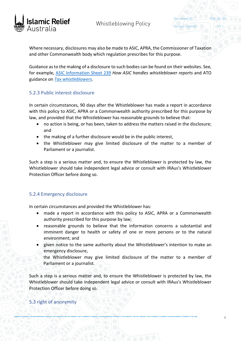

Document ID:

Where necessary, disclosures may also be made to ASIC, APRA, the Commissioner of Taxation and other Commonwealth body which regulation prescribes for this purpose.

Guidance as to the making of a disclosure to such bodies can be found on their websites. See, for example, [ASIC Information Sheet 239](https://asic.gov.au/about-asic/asic-investigations-and-enforcement/whistleblowing/how-asic-handles-whistleblower-reports/) *How ASIC handles whistleblower reports* and ATO guidance on *[Tax whistleblowers](https://www.ato.gov.au/general/gen/whistleblowers/)*.

#### <span id="page-9-0"></span>5.2.3 Public interest disclosure

In certain circumstances, 90 days after the Whistleblower has made a report in accordance with this policy to ASIC, APRA or a Commonwealth authority prescribed for this purpose by law, and provided that the Whistleblower has reasonable grounds to believe that:

- no action is being, or has been, taken to address the matters raised in the disclosure; and
- the making of a further disclosure would be in the public interest,
- the Whistleblower may give limited disclosure of the matter to a member of Parliament or a journalist.

Such a step is a serious matter and, to ensure the Whistleblower is protected by law, the Whistleblower should take independent legal advice or consult with IRAus's Whistleblower Protection Officer before doing so.

#### <span id="page-9-1"></span>5.2.4 Emergency disclosure

In certain circumstances and provided the Whistleblower has:

- made a report in accordance with this policy to ASIC, APRA or a Commonwealth authority prescribed for this purpose by law;
- reasonable grounds to believe that the information concerns a substantial and imminent danger to health or safety of one or more persons or to the natural environment; and
- given notice to the same authority about the Whistleblower's intention to make an emergency disclosure,

the Whistleblower may give limited disclosure of the matter to a member of Parliament or a journalist.

Such a step is a serious matter and, to ensure the Whistleblower is protected by law, the Whistleblower should take independent legal advice or consult with IRAus's Whistleblower Protection Officer before doing so.

## <span id="page-9-2"></span>5.3 right of anonymity

9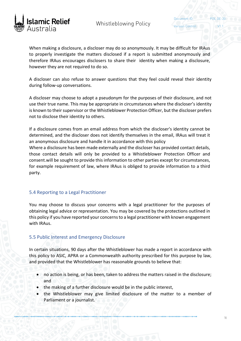

Document ID:

Version Control:

When making a disclosure, a discloser may do so anonymously. It may be difficult for IRAus to properly investigate the matters disclosed if a report is submitted anonymously and therefore IRAus encourages disclosers to share their identity when making a disclosure, however they are not required to do so.

A discloser can also refuse to answer questions that they feel could reveal their identity during follow-up conversations.

A discloser may choose to adopt a pseudonym for the purposes of their disclosure, and not use their true name. This may be appropriate in circumstances where the discloser's identity is known to their supervisor or the Whistleblower Protection Officer, but the discloser prefers not to disclose their identity to others.

If a disclosure comes from an email address from which the discloser's identity cannot be determined, and the discloser does not identify themselves in the email, IRAus will treat it an anonymous disclosure and handle it in accordance with this policy

Where a disclosure has been made externally and the discloser has provided contact details, those contact details will only be provided to a Whistleblower Protection Officer and consent.will be sought to provide this information to other parties except for circumstances, for example requirement of law, where IRAus is obliged to provide information to a third party.

#### <span id="page-10-0"></span>5.4 Reporting to a Legal Practitioner

You may choose to discuss your concerns with a legal practitioner for the purposes of obtaining legal advice or representation. You may be covered by the protections outlined in this policy if you have reported your concerns to a legal practitioner with known engagement with IRAus.

#### <span id="page-10-1"></span>5.5 Public Interest and Emergency Disclosure

In certain situations, 90 days after the Whistleblower has made a report in accordance with this policy to ASIC, APRA or a Commonwealth authority prescribed for this purpose by law, and provided that the Whistleblower has reasonable grounds to believe that:

- no action is being, or has been, taken to address the matters raised in the disclosure; and
- the making of a further disclosure would be in the public interest,
- the Whistleblower may give limited disclosure of the matter to a member of Parliament or a journalist.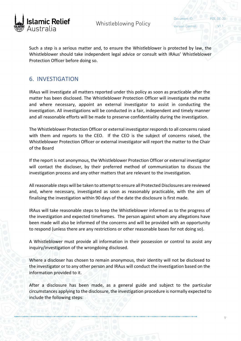

**Version Control:** 

Document ID:

Such a step is a serious matter and, to ensure the Whistleblower is protected by law, the Whistleblower should take independent legal advice or consult with IRAus' Whistleblower Protection Officer before doing so.

## <span id="page-11-0"></span>6. INVESTIGATION

IRAus will investigate all matters reported under this policy as soon as practicable after the matter has been disclosed. The Whistleblower Protection Officer will investigate the matte and where necessary, appoint an external investigator to assist in conducting the investigation. All investigations will be conducted in a fair, independent and timely manner and all reasonable efforts will be made to preserve confidentiality during the investigation.

The Whistleblower Protection Officer or external investigator responds to all concerns raised with them and reports to the CEO. If the CEO is the subject of concerns raised, the Whistleblower Protection Officer or external investigator will report the matter to the Chair of the Board

If the report is not anonymous, the Whistleblower Protection Officer or external investigator will contact the discloser, by their preferred method of communication to discuss the investigation process and any other matters that are relevant to the investigation.

All reasonable steps will be taken to attempt to ensure all Protected Disclosures are reviewed and, where necessary, investigated as soon as reasonably practicable, with the aim of finalising the investigation within 90 days of the date the disclosure is first made.

IRAus will take reasonable steps to keep the Whistleblower informed as to the progress of the investigation and expected timeframes. The person against whom any allegations have been made will also be informed of the concerns and will be provided with an opportunity to respond (unless there are any restrictions or other reasonable bases for not doing so).

A Whistleblower must provide all information in their possession or control to assist any inquiry/investigation of the wrongdoing disclosed.

Where a discloser has chosen to remain anonymous, their identity will not be disclosed to the investigator or to any other person and IRAus will conduct the investigation based on the information provided to it.

After a disclosure has been made, as a general guide and subject to the particular circumstances applying to the disclosure, the investigation procedure is normally expected to include the following steps: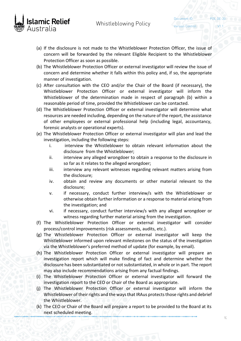

Version Control:

Document ID:

- 
- (a) If the disclosure is not made to the Whistleblower Protection Officer, the issue of concern will be forwarded by the relevant Eligible Recipient to the Whistleblower Protection Officer as soon as possible.
- (b) The Whistleblower Protection Officer or external investigator will review the issue of concern and determine whether it falls within this policy and, if so, the appropriate manner of investigation.
- (c) After consultation with the CEO and/or the Chair of the Board (if necessary), the Whistleblower Protection Officer or external investigator will inform the Whistleblower of the determination made in respect of paragraph (b) within a reasonable period of time, provided the Whistleblower can be contacted.
- (d) The Whistleblower Protection Officer or external investigator will determine what resources are needed including, depending on the nature of the report, the assistance of other employees or external professional help (including legal, accountancy, forensic analysts or operational experts).
- (e) The Whistleblower Protection Officer or external investigator will plan and lead the investigation, including the following steps:
	- i. interview the Whistleblower to obtain relevant information about the disclosure from the Whistleblower;
	- ii. interview any alleged wrongdoer to obtain a response to the disclosure in so far as it relates to the alleged wrongdoer;
	- iii. interview any relevant witnesses regarding relevant matters arising from the disclosure;
	- iv. obtain and review any documents or other material relevant to the disclosure;
	- v. if necessary, conduct further interview/s with the Whistleblower or otherwise obtain further information or a response to material arising from the investigation; and
	- vi. if necessary, conduct further interview/s with any alleged wrongdoer or witness regarding further material arising from the investigation.
- (f) The Whistleblower Protection Officer or external investigator will consider process/control improvements (risk assessments, audits, etc.).
- (g) The Whistleblower Protection Officer or external investigator will keep the Whistleblower informed upon relevant milestones on the status of the investigation via the Whistleblower's preferred method of update (for example, by email).
- (h) The Whistleblower Protection Officer or external investigator will prepare an investigation report which will make finding of fact and determine whether the disclosure has been substantiated or not substantiated, in whole or in part. The report may also include recommendations arising from any factual findings.
- (i) The Whistleblower Protection Officer or external investigator will forward the investigation report to the CEO or Chair of the Board as appropriate.
- (j) The Whistleblower Protection Officer or external investigator will inform the Whistleblower of their rights and the ways that IRAus protects those rights and debrief the Whistleblower.
- (k) The CEO or Chair of the Board will prepare a report to be provided to the Board at its next scheduled meeting.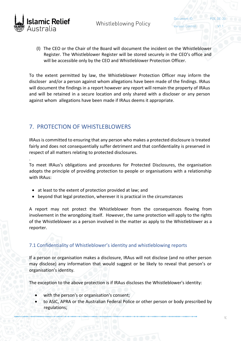

Document ID:

(l) The CEO or the Chair of the Board will document the incident on the Whistleblower Register. The Whistleblower Register will be stored securely in the CEO's office and will be accessible only by the CEO and Whistleblower Protection Officer.

To the extent permitted by law, the Whistleblower Protection Officer may inform the discloser and/or a person against whom allegations have been made of the findings. IRAus will document the findings in a report however any report will remain the property of IRAus and will be retained in a secure location and only shared with a discloser or any person against whom allegations have been made if IRAus deems it appropriate.

# <span id="page-13-0"></span>7. PROTECTION OF WHISTI FBI OWERS

IRAus is committed to ensuring that any person who makes a protected disclosure is treated fairly and does not consequentially suffer detriment and that confidentiality is preserved in respect of all matters relating to protected disclosures.

. To meet IRAus's obligations and procedures for Protected Disclosures, the organisation adopts the principle of providing protection to people or organisations with a relationship with IRAus:

- at least to the extent of protection provided at law; and
- beyond that legal protection, wherever it is practical in the circumstances

A report may not protect the Whistleblower from the consequences flowing from involvement in the wrongdoing itself. However, the same protection will apply to the rights of the Whistleblower as a person involved in the matter as apply to the Whistleblower as a reporter.

## <span id="page-13-1"></span>7.1 Confidentiality of Whistleblower's identity and whistleblowing reports

If a person or organisation makes a disclosure, IRAus will not disclose (and no other person may disclose) any information that would suggest or be likely to reveal that person's or organisation's identity.

The exception to the above protection is if IRAus discloses the Whistleblower's identity:

- with the person's or organisation's consent;
- to ASIC, APRA or the Australian Federal Police or other person or body prescribed by regulations;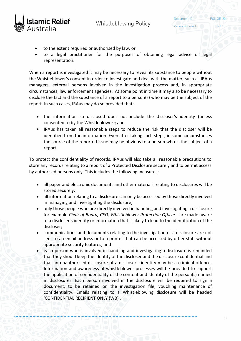

Version Control:

Document ID:

- to the extent required or authorised by law, or
- to a legal practitioner for the purposes of obtaining legal advice or legal representation.

When a report is investigated it may be necessary to reveal its substance to people without the Whistleblower's consent in order to investigate and deal with the matter, such as IRAus managers, external persons involved in the investigation process and, in appropriate circumstances, law enforcement agencies. At some point in time it may also be necessary to disclose the fact and the substance of a report to a person(s) who may be the subject of the report. In such cases, IRAus may do so provided that:

- the information so disclosed does not include the discloser's identity (unless consented to by the Whistleblower); and
- IRAus has taken all reasonable steps to reduce the risk that the discloser will be identified from the information. Even after taking such steps, in some circumstances the source of the reported issue may be obvious to a person who is the subject of a report.

To protect the confidentiality of records, IRAus will also take all reasonable precautions to store any records relating to a report of a Protected Disclosure securely and to permit access by authorised persons only. This includes the following measures:

- all paper and electronic documents and other materials relating to disclosures will be stored securely;
- all information relating to a disclosure can only be accessed by those directly involved in managing and investigating the disclosure;
- only those people who are directly involved in handling and investigating a disclosure for example *Chair of Board, CEO, Whistleblower Protection Officer -* are made aware of a discloser's identity or information that is likely to lead to the identification of the discloser;
- communications and documents relating to the investigation of a disclosure are not sent to an email address or to a printer that can be accessed by other staff without appropriate security features; and
- each person who is involved in handling and investigating a disclosure is reminded that they should keep the identity of the discloser and the disclosure confidential and that an unauthorised disclosure of a discloser's identity may be a criminal offence. Information and awareness of whistleblower processes will be provided to support the application of confidentiality of the content and identity of the person(s) named in disclosures. Each person involved in the disclosure will be required to sign a document, to be retained on the investigation file, vouching maintenance of confidentiality. Emails relating to a Whistleblowing disclosure will be headed 'CONFIDENTIAL RECIPIENT ONLY (WB)'.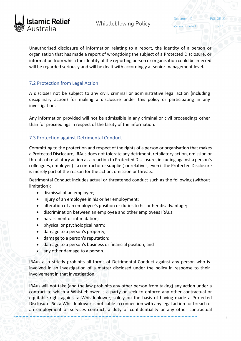

Document ID:

Unauthorised disclosure of information relating to a report, the identity of a person or organisation that has made a report of wrongdoing the subject of a Protected Disclosure, or information from which the identity of the reporting person or organisation could be inferred will be regarded seriously and will be dealt with accordingly at senior management level.

#### <span id="page-15-0"></span>7.2 Protection from Legal Action

A discloser not be subject to any civil, criminal or administrative legal action (including disciplinary action) for making a disclosure under this policy or participating in any investigation.

Any information provided will not be admissible in any criminal or civil proceedings other than for proceedings in respect of the falsity of the information.

#### <span id="page-15-1"></span>7.3 Protection against Detrimental Conduct

Committing to the protection and respect of the rights of a person or organisation that makes a Protected Disclosure, IRAus does not tolerate any detriment, retaliatory action, omission or threats of retaliatory action as a reaction to Protected Disclosure, including against a person's colleagues, employer (if a contractor or supplier) or relatives, even if the Protected Disclosure is merely part of the reason for the action, omission or threats.

Detrimental Conduct includes actual or threatened conduct such as the following (without limitation):

- dismissal of an employee;
- injury of an employee in his or her employment;
- alteration of an employee's position or duties to his or her disadvantage;
- discrimination between an employee and other employees IRAus;
- harassment or intimidation;
- physical or psychological harm;
- damage to a person's property;
- damage to a person's reputation;
- damage to a person's business or financial position; and
- any other damage to a person.

IRAus also strictly prohibits all forms of Detrimental Conduct against any person who is involved in an investigation of a matter disclosed under the policy in response to their involvement in that investigation.

IRAus will not take (and the law prohibits any other person from taking) any action under a contract to which a Whistleblower is a party or seek to enforce any other contractual or equitable right against a Whistleblower, solely on the basis of having made a Protected Disclosure*.* So, a Whistleblower is not liable in connection with any legal action for breach of an employment or services contract, a duty of confidentiality or any other contractual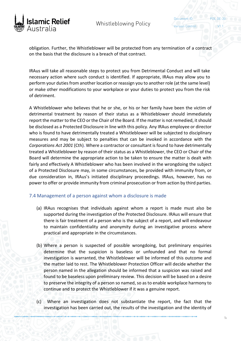

Document ID: Version Control:

obligation. Further, the Whistleblower will be protected from any termination of a contract on the basis that the disclosure is a breach of that contract.

IRAus will take all reasonable steps to protect you from Detrimental Conduct and will take necessary action where such conduct is identified. If appropriate, IRAus may allow you to perform your duties from another location or reassign you to another role (at the same level) or make other modifications to your workplace or your duties to protect you from the risk of detriment.

A Whistleblower who believes that he or she, or his or her family have been the victim of detrimental treatment by reason of their status as a Whistleblower should immediately report the matter to the CEO or the Chair of the Board. If the matter is not remedied, it should be disclosed as a Protected Disclosure in line with this policy. Any IRAus employee or director who is found to have detrimentally treated a Whistleblower will be subjected to disciplinary measures and may be subject to penalties that can be invoked in accordance with the *Corporations Act 2001* (Cth). Where a contractor or consultant is found to have detrimentally treated a Whistleblower by reason of their status as a Whistleblower, the CEO or Chair of the Board will determine the appropriate action to be taken to ensure the matter is dealt with fairly and effectively A Whistleblower who has been involved in the wrongdoing the subject of a Protected Disclosure may, in some circumstances, be provided with immunity from, or due consideration in, IRAus's initiated disciplinary proceedings. IRAus, however, has no power to offer or provide immunity from criminal prosecution or from action by third parties.

#### <span id="page-16-0"></span>7.4 Management of a person against whom a disclosure is made

- (a) IRAus recognises that individuals against whom a report is made must also be supported during the investigation of the Protected Disclosure. IRAus will ensure that there is fair treatment of a person who is the subject of a report, and will endeavour to maintain confidentiality and anonymity during an investigative process where practical and appropriate in the circumstances.
- (b) Where a person is suspected of possible wrongdoing, but preliminary enquiries determine that the suspicion is baseless or unfounded and that no formal investigation is warranted, the Whistleblower will be informed of this outcome and the matter laid to rest. The Whistleblower Protection Officer will decide whether the person named in the allegation should be informed that a suspicion was raised and found to be baseless upon preliminary review. This decision will be based on a desire to preserve the integrity of a person so named, so as to enable workplace harmony to continue and to protect the Whistleblower if it was a genuine report.
- (c) Where an investigation does not substantiate the report, the fact that the investigation has been carried out, the results of the investigation and the identity of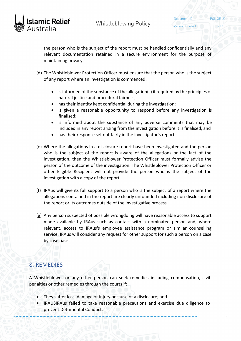

Document ID:

the person who is the subject of the report must be handled confidentially and any relevant documentation retained in a secure environment for the purpose of maintaining privacy.

- (d) The Whistleblower Protection Officer must ensure that the person who is the subject of any report where an investigation is commenced:
	- is informed of the substance of the allegation(s) if required by the principles of natural justice and procedural fairness;
	- has their identity kept confidential during the investigation;
	- is given a reasonable opportunity to respond before any investigation is finalised;
	- is informed about the substance of any adverse comments that may be included in any report arising from the investigation before it is finalised, and
	- has their response set out fairly in the investigator's report.
- (e) Where the allegations in a disclosure report have been investigated and the person who is the subject of the report is aware of the allegations or the fact of the investigation, then the Whistleblower Protection Officer must formally advise the person of the outcome of the investigation. The Whistleblower Protection Officer or other Eligible Recipient will not provide the person who is the subject of the investigation with a copy of the report.
- (f) IRAus will give its full support to a person who is the subject of a report where the allegations contained in the report are clearly unfounded including non-disclosure of the report or its outcomes outside of the investigative process.
- (g) Any person suspected of possible wrongdoing will have reasonable access to support made available by IRAus such as contact with a nominated person and, where relevant, access to IRAus's employee assistance program or similar counselling service. IRAus will consider any request for other support for such a person on a case by case basis.

# <span id="page-17-0"></span>8. REMEDIES

A Whistleblower or any other person can seek remedies including compensation, civil penalties or other remedies through the courts if:

- They suffer loss, damage or injury because of a disclosure; and
- IRAUSIRAus failed to take reasonable precautions and exercise due diligence to prevent Detrimental Conduct.